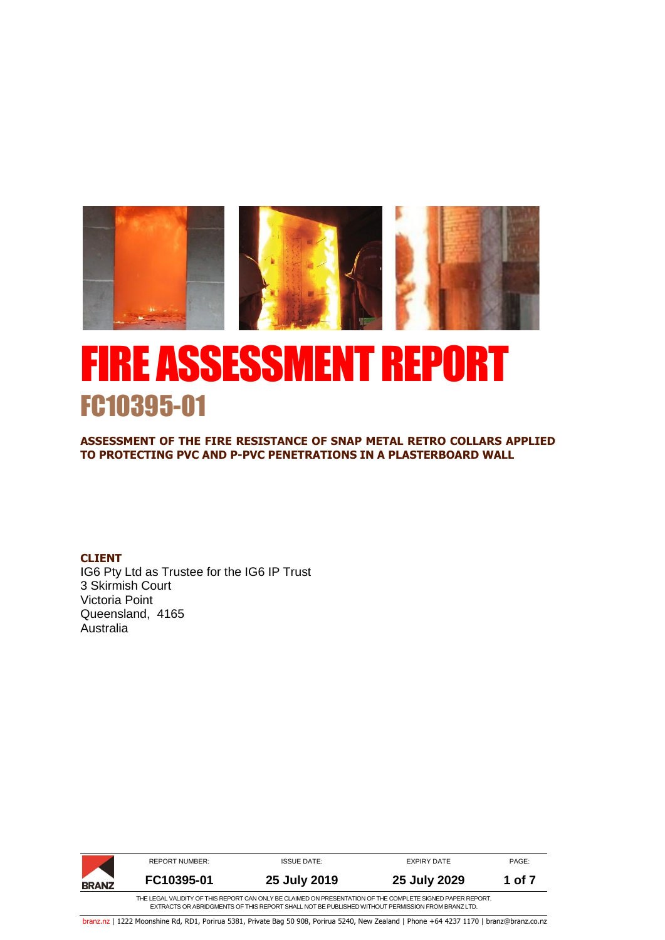

# FIRE ASSESSMENT REPORT FC10395-01

**ASSESSMENT OF THE FIRE RESISTANCE OF SNAP METAL RETRO COLLARS APPLIED TO PROTECTING PVC AND P-PVC PENETRATIONS IN A PLASTERBOARD WALL** 

**CLIENT**

IG6 Pty Ltd as Trustee for the IG6 IP Trust 3 Skirmish Court Victoria Point Queensland, 4165 Australia

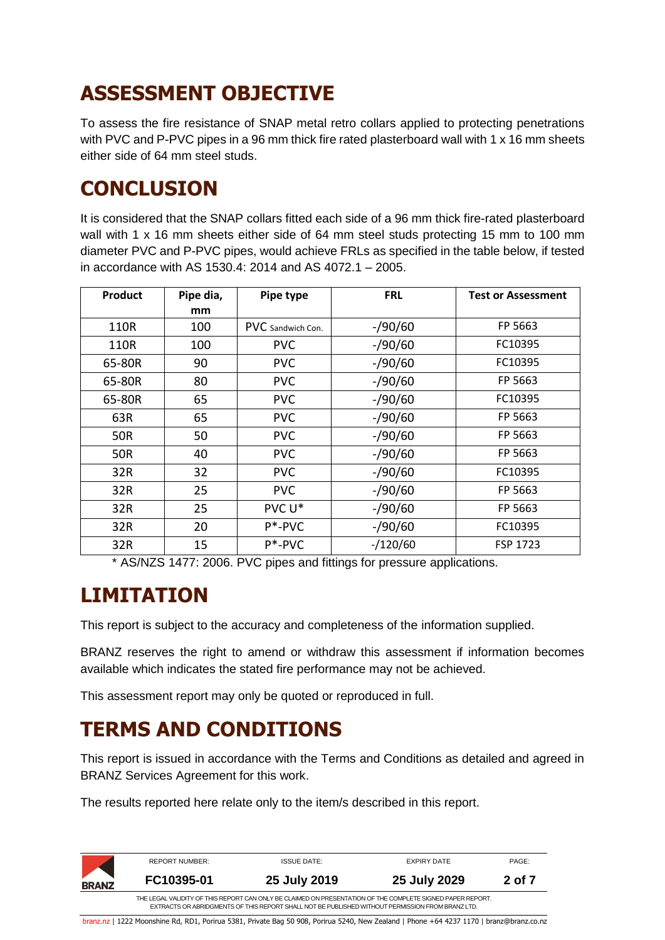# **ASSESSMENT OBJECTIVE**

To assess the fire resistance of SNAP metal retro collars applied to protecting penetrations with PVC and P-PVC pipes in a 96 mm thick fire rated plasterboard wall with 1 x 16 mm sheets either side of 64 mm steel studs.

#### **CONCLUSION**

It is considered that the SNAP collars fitted each side of a 96 mm thick fire-rated plasterboard wall with 1 x 16 mm sheets either side of 64 mm steel studs protecting 15 mm to 100 mm diameter PVC and P-PVC pipes, would achieve FRLs as specified in the table below, if tested in accordance with AS 1530.4: 2014 and AS 4072.1 – 2005.

| <b>Product</b> | Pipe dia,<br>mm | Pipe type         | <b>FRL</b> | <b>Test or Assessment</b> |
|----------------|-----------------|-------------------|------------|---------------------------|
| 110R           | 100             | PVC Sandwich Con. | $-$ /90/60 | FP 5663                   |
| 110R           | 100             | <b>PVC</b>        | $-$ /90/60 | FC10395                   |
| 65-80R         | 90              | <b>PVC</b>        | $-$ /90/60 | FC10395                   |
| 65-80R         | 80              | <b>PVC</b>        | $-$ /90/60 | FP 5663                   |
| 65-80R         | 65              | <b>PVC</b>        | $-$ /90/60 | FC10395                   |
| 63R            | 65              | <b>PVC</b>        | $-$ /90/60 | FP 5663                   |
| 50R            | 50              | <b>PVC</b>        | $-$ /90/60 | FP 5663                   |
| 50R            | 40              | <b>PVC</b>        | $-$ /90/60 | FP 5663                   |
| 32R            | 32              | <b>PVC</b>        | $-$ /90/60 | FC10395                   |
| 32R            | 25              | <b>PVC</b>        | $-$ /90/60 | FP 5663                   |
| 32R            | 25              | PVC U*            | $-$ /90/60 | FP 5663                   |
| 32R            | 20              | P*-PVC            | $-$ /90/60 | FC10395                   |
| 32R            | 15              | $P^*$ -PVC        | $-/120/60$ | FSP 1723                  |

\* AS/NZS 1477: 2006. PVC pipes and fittings for pressure applications.

# **LIMITATION**

This report is subject to the accuracy and completeness of the information supplied.

BRANZ reserves the right to amend or withdraw this assessment if information becomes available which indicates the stated fire performance may not be achieved.

This assessment report may only be quoted or reproduced in full.

# **TERMS AND CONDITIONS**

This report is issued in accordance with the Terms and Conditions as detailed and agreed in BRANZ Services Agreement for this work.

The results reported here relate only to the item/s described in this report.

|              | <b>REPORT NUMBER:</b> | <b>ISSUE DATE:</b>                                                                                                                                                                                             | EXPIRY DATE  | PAGE:  |
|--------------|-----------------------|----------------------------------------------------------------------------------------------------------------------------------------------------------------------------------------------------------------|--------------|--------|
| <b>BRANZ</b> | FC10395-01            | 25 July 2019                                                                                                                                                                                                   | 25 July 2029 | 2 of 7 |
|              |                       | THE LEGAL VALIDITY OF THIS REPORT CAN ONLY BE CLAIMED ON PRESENTATION OF THE COMPLETE SIGNED PAPER REPORT.<br>EXTRACTS OR ABRIDGMENTS OF THIS REPORT SHALL NOT BE PUBLISHED WITHOUT PERMISSION FROM BRANZ LTD. |              |        |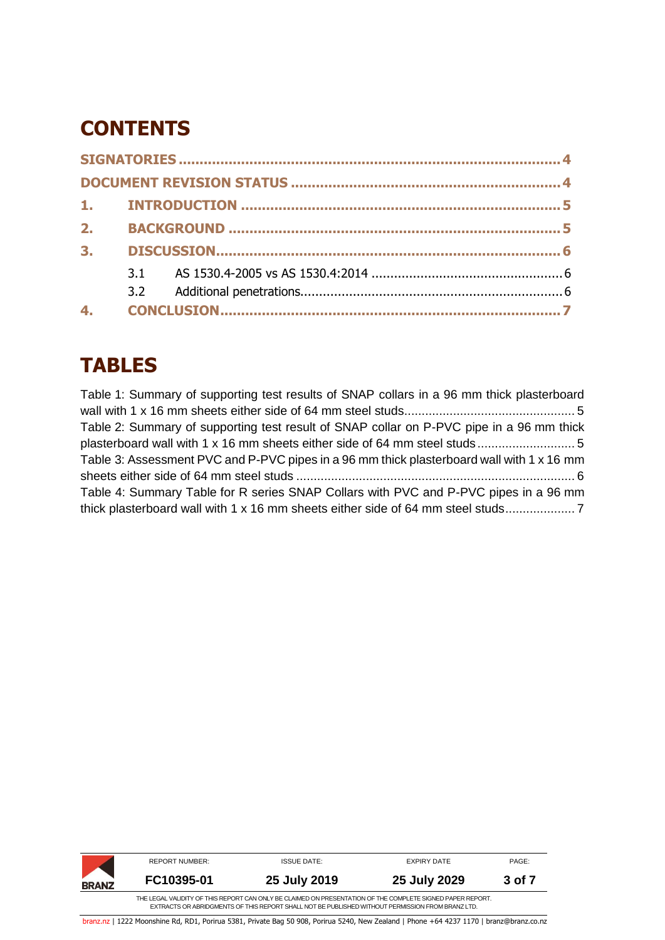### **CONTENTS**

| 2.             |  |  |  |  |  |  |
|----------------|--|--|--|--|--|--|
| 3 <sub>1</sub> |  |  |  |  |  |  |
|                |  |  |  |  |  |  |
|                |  |  |  |  |  |  |
|                |  |  |  |  |  |  |

### **TABLES**

Table [1: Summary of supporting test results of SNAP collars in a 96 mm thick plasterboard](#page-4-2)  [wall with 1 x 16 mm sheets either side of 64 mm steel studs.................................................](#page-4-2) 5 Table [2: Summary of supporting test result of SNAP collar on P-PVC pipe in a 96](#page-4-3) mm thick [plasterboard wall with 1 x 16 mm sheets either side of 64 mm steel studs](#page-4-3) ............................ 5 Table [3: Assessment PVC and P-PVC pipes in a 96 mm thick plasterboard wall with 1 x 16](#page-5-3) mm sheets either side of 64 mm steel studs [................................................................................](#page-5-3) 6 [Table 4: Summary Table for R series SNAP Collars with PVC and P-PVC pipes in a 96](#page-6-1) mm [thick plasterboard wall with 1 x 16 mm sheets either side of 64 mm steel studs....................](#page-6-1) 7

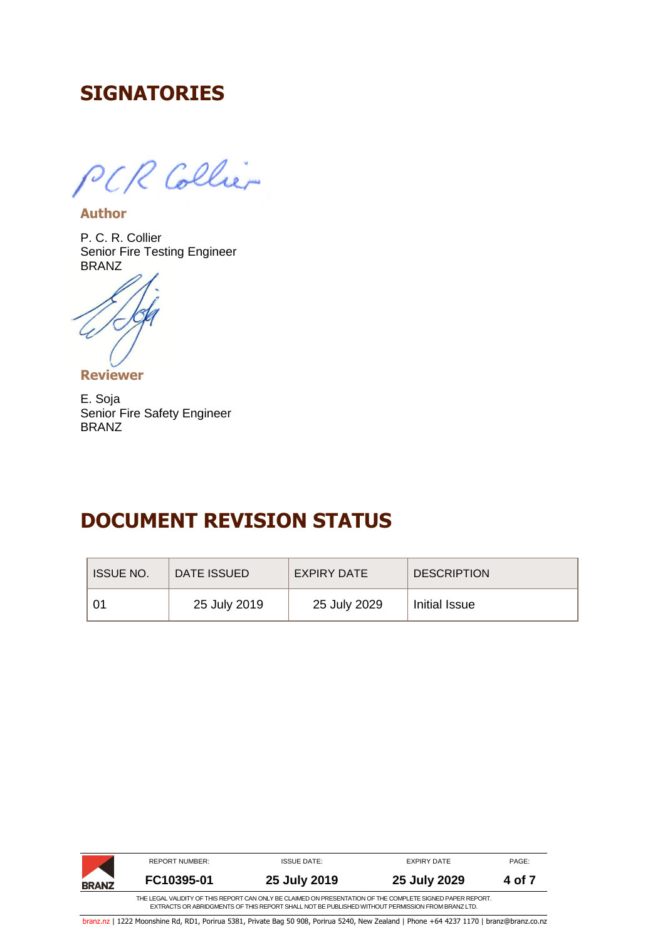#### <span id="page-3-0"></span>**SIGNATORIES**

PCR Collier

**Author**

P. C. R. Collier Senior Fire Testing Engineer BRANZ

**Reviewer**

<span id="page-3-1"></span>E. Soja Senior Fire Safety Engineer BRANZ

#### **DOCUMENT REVISION STATUS**

| <b>ISSUE NO.</b> | DATE ISSUED  | <b>EXPIRY DATE</b> | <b>DESCRIPTION</b> |
|------------------|--------------|--------------------|--------------------|
|                  | 25 July 2019 | 25 July 2029       | Initial Issue      |

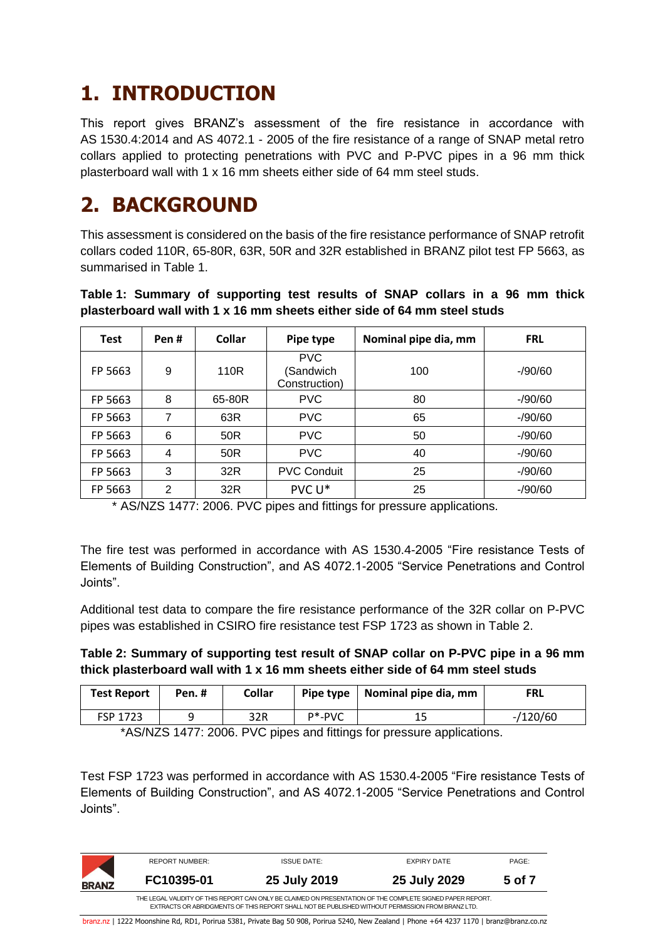### <span id="page-4-0"></span>**1. INTRODUCTION**

This report gives BRANZ's assessment of the fire resistance in accordance with AS 1530.4:2014 and AS 4072.1 - 2005 of the fire resistance of a range of SNAP metal retro collars applied to protecting penetrations with PVC and P-PVC pipes in a 96 mm thick plasterboard wall with 1 x 16 mm sheets either side of 64 mm steel studs.

#### <span id="page-4-1"></span>**2. BACKGROUND**

This assessment is considered on the basis of the fire resistance performance of SNAP retrofit collars coded 110R, 65-80R, 63R, 50R and 32R established in BRANZ pilot test FP 5663, as summarised in [Table](#page-4-2) 1.

<span id="page-4-2"></span>

|  | Table 1: Summary of supporting test results of SNAP collars in a 96 mm thick |  |  |  |  |  |
|--|------------------------------------------------------------------------------|--|--|--|--|--|
|  | plasterboard wall with 1 x 16 mm sheets either side of 64 mm steel studs     |  |  |  |  |  |

| <b>Test</b> | Pen# | <b>Collar</b> | Pipe type                                | Nominal pipe dia, mm | <b>FRL</b> |
|-------------|------|---------------|------------------------------------------|----------------------|------------|
| FP 5663     | 9    | 110R          | <b>PVC</b><br>(Sandwich<br>Construction) | 100                  | $-90/60$   |
| FP 5663     | 8    | 65-80R        | <b>PVC</b>                               | 80                   | $-90/60$   |
| FP 5663     | 7    | 63R           | <b>PVC</b>                               | 65                   | $-90/60$   |
| FP 5663     | 6    | 50R           | <b>PVC</b>                               | 50                   | $-90/60$   |
| FP 5663     | 4    | 50R           | <b>PVC</b>                               | 40                   | $-90/60$   |
| FP 5663     | 3    | 32R           | <b>PVC Conduit</b>                       | 25                   | $-90/60$   |
| FP 5663     | 2    | 32R           | PVC U*                                   | 25                   | $-$ /90/60 |

\* AS/NZS 1477: 2006. PVC pipes and fittings for pressure applications.

The fire test was performed in accordance with AS 1530.4-2005 "Fire resistance Tests of Elements of Building Construction", and AS 4072.1-2005 "Service Penetrations and Control Joints".

Additional test data to compare the fire resistance performance of the 32R collar on P-PVC pipes was established in CSIRO fire resistance test FSP 1723 as shown in [Table](#page-4-3) 2.

#### <span id="page-4-3"></span>**Table 2: Summary of supporting test result of SNAP collar on P-PVC pipe in a 96 mm thick plasterboard wall with 1 x 16 mm sheets either side of 64 mm steel studs**

| <b>Test Report</b> | Pen.# | Collar |            | Pipe type   Nominal pipe dia, mm | <b>FRL</b> |
|--------------------|-------|--------|------------|----------------------------------|------------|
| <b>FSP 1723</b>    |       | 32R    | $P^*$ -PVC | 15                               | $-/120/60$ |

\*AS/NZS 1477: 2006. PVC pipes and fittings for pressure applications.

Test FSP 1723 was performed in accordance with AS 1530.4-2005 "Fire resistance Tests of Elements of Building Construction", and AS 4072.1-2005 "Service Penetrations and Control Joints".

|              | REPORT NUMBER: | <b>ISSUE DATE:</b> | EXPIRY DATE                                                                                                                                                                                                    | PAGE:  |  |  |  |  |  |
|--------------|----------------|--------------------|----------------------------------------------------------------------------------------------------------------------------------------------------------------------------------------------------------------|--------|--|--|--|--|--|
| <b>BRANZ</b> | FC10395-01     | 25 July 2019       | 25 July 2029                                                                                                                                                                                                   | 5 of 7 |  |  |  |  |  |
|              |                |                    | THE LEGAL VALIDITY OF THIS REPORT CAN ONLY BE CLAIMED ON PRESENTATION OF THE COMPLETE SIGNED PAPER REPORT.<br>EXTRACTS OR ABRIDGMENTS OF THIS REPORT SHALL NOT BE PUBLISHED WITHOUT PERMISSION FROM BRANZ LTD. |        |  |  |  |  |  |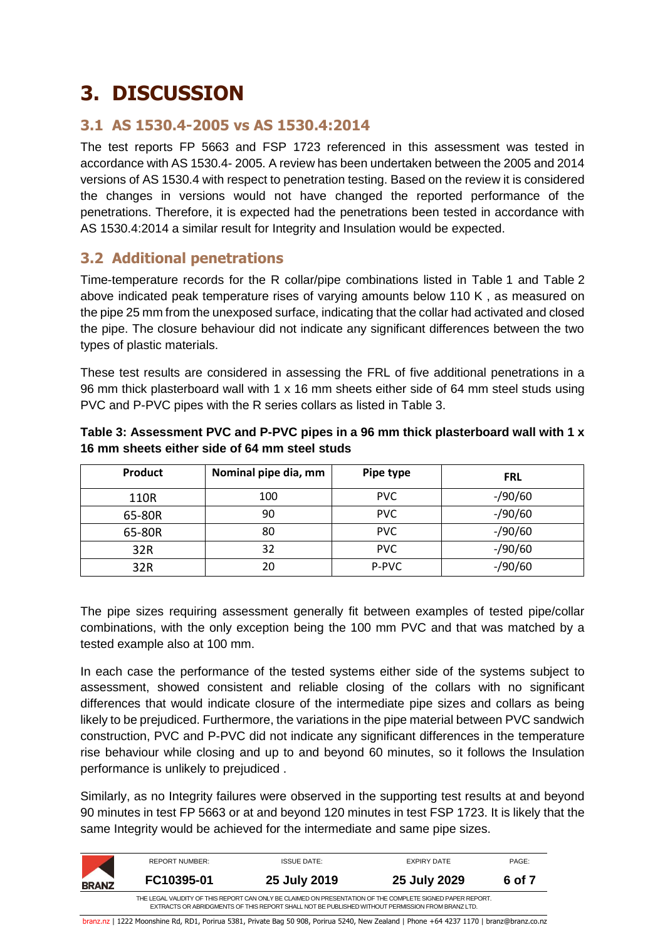# <span id="page-5-0"></span>**3. DISCUSSION**

#### <span id="page-5-1"></span>**3.1 AS 1530.4-2005 vs AS 1530.4:2014**

The test reports FP 5663 and FSP 1723 referenced in this assessment was tested in accordance with AS 1530.4- 2005. A review has been undertaken between the 2005 and 2014 versions of AS 1530.4 with respect to penetration testing. Based on the review it is considered the changes in versions would not have changed the reported performance of the penetrations. Therefore, it is expected had the penetrations been tested in accordance with AS 1530.4:2014 a similar result for Integrity and Insulation would be expected.

#### <span id="page-5-2"></span>**3.2 Additional penetrations**

Time-temperature records for the R collar/pipe combinations listed in [Table](#page-4-2) 1 and [Table](#page-4-3) 2 above indicated peak temperature rises of varying amounts below 110 K , as measured on the pipe 25 mm from the unexposed surface, indicating that the collar had activated and closed the pipe. The closure behaviour did not indicate any significant differences between the two types of plastic materials.

These test results are considered in assessing the FRL of five additional penetrations in a 96 mm thick plasterboard wall with 1 x 16 mm sheets either side of 64 mm steel studs using PVC and P-PVC pipes with the R series collars as listed in [Table](#page-5-3) 3.

| Product | Nominal pipe dia, mm | Pipe type  | <b>FRL</b> |
|---------|----------------------|------------|------------|
| 110R    | 100                  | <b>PVC</b> | $-$ /90/60 |
| 65-80R  | 90                   | <b>PVC</b> | $-$ /90/60 |
| 65-80R  | 80                   | <b>PVC</b> | $-$ /90/60 |
| 32R     | 32                   | <b>PVC</b> | $-$ /90/60 |
| 32R     | 20                   | P-PVC      | $-$ /90/60 |

#### <span id="page-5-3"></span>**Table 3: Assessment PVC and P-PVC pipes in a 96 mm thick plasterboard wall with 1 x 16 mm sheets either side of 64 mm steel studs**

The pipe sizes requiring assessment generally fit between examples of tested pipe/collar combinations, with the only exception being the 100 mm PVC and that was matched by a tested example also at 100 mm.

In each case the performance of the tested systems either side of the systems subject to assessment, showed consistent and reliable closing of the collars with no significant differences that would indicate closure of the intermediate pipe sizes and collars as being likely to be prejudiced. Furthermore, the variations in the pipe material between PVC sandwich construction, PVC and P-PVC did not indicate any significant differences in the temperature rise behaviour while closing and up to and beyond 60 minutes, so it follows the Insulation performance is unlikely to prejudiced .

Similarly, as no Integrity failures were observed in the supporting test results at and beyond 90 minutes in test FP 5663 or at and beyond 120 minutes in test FSP 1723. It is likely that the same Integrity would be achieved for the intermediate and same pipe sizes.

|              | <b>REPORT NUMBER:</b> | <b>ISSUE DATE:</b>                                                                               | EXPIRY DATE                                                                                                | PAGE:  |
|--------------|-----------------------|--------------------------------------------------------------------------------------------------|------------------------------------------------------------------------------------------------------------|--------|
| <b>BRANZ</b> | FC10395-01            | 25 July 2019                                                                                     | 25 July 2029                                                                                               | 6 of 7 |
|              |                       | EXTRACTS OR ABRIDGMENTS OF THIS REPORT SHALL NOT BE PUBLISHED WITHOUT PERMISSION FROM BRANZ LTD. | THE LEGAL VALIDITY OF THIS REPORT CAN ONLY BE CLAIMED ON PRESENTATION OF THE COMPLETE SIGNED PAPER REPORT. |        |